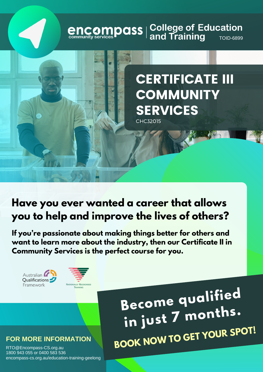# **encompass** | College of Education<br>
community services **Paral State of Additional Additional Additional Proper**

### CERTIFICATE III **COMMUNITY** SERVICES CHC32015

**Have you ever wanted a career that allows you to help and improve the lives of others?**

**If you're passionate about making things better for others and want to learn more about the industry, then our Certificate II in Community Services is the perfect course for you.**





**Become qualified in just <sup>7</sup> months. BOOK NOW TO GET YOUR SPOT!**

#### **FOR MORE INFORMATION**

RTO@Encompass-CS.org.au 1800 943 055 or 0400 583 536 encompass-cs.org.au/education-training-geelong